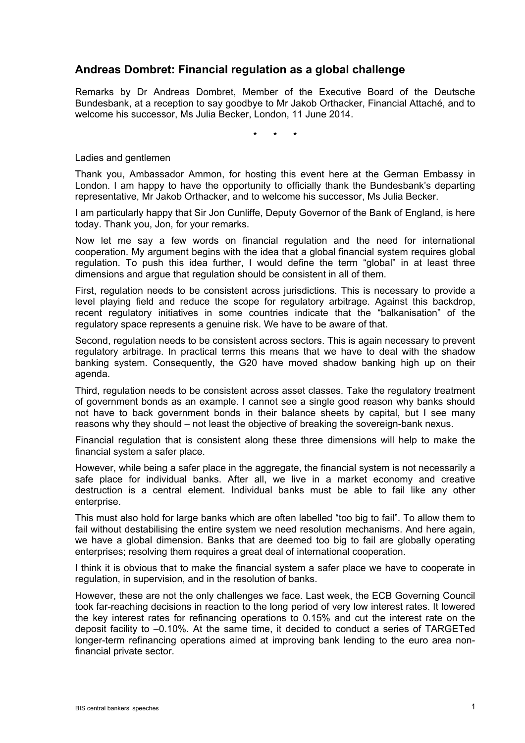## **Andreas Dombret: Financial regulation as a global challenge**

Remarks by Dr Andreas Dombret, Member of the Executive Board of the Deutsche Bundesbank, at a reception to say goodbye to Mr Jakob Orthacker, Financial Attaché, and to welcome his successor, Ms Julia Becker, London, 11 June 2014.

\* \* \*

Ladies and gentlemen

Thank you, Ambassador Ammon, for hosting this event here at the German Embassy in London. I am happy to have the opportunity to officially thank the Bundesbank's departing representative, Mr Jakob Orthacker, and to welcome his successor, Ms Julia Becker.

I am particularly happy that Sir Jon Cunliffe, Deputy Governor of the Bank of England, is here today. Thank you, Jon, for your remarks.

Now let me say a few words on financial regulation and the need for international cooperation. My argument begins with the idea that a global financial system requires global regulation. To push this idea further, I would define the term "global" in at least three dimensions and argue that regulation should be consistent in all of them.

First, regulation needs to be consistent across jurisdictions. This is necessary to provide a level playing field and reduce the scope for regulatory arbitrage. Against this backdrop, recent regulatory initiatives in some countries indicate that the "balkanisation" of the regulatory space represents a genuine risk. We have to be aware of that.

Second, regulation needs to be consistent across sectors. This is again necessary to prevent regulatory arbitrage. In practical terms this means that we have to deal with the shadow banking system. Consequently, the G20 have moved shadow banking high up on their agenda.

Third, regulation needs to be consistent across asset classes. Take the regulatory treatment of government bonds as an example. I cannot see a single good reason why banks should not have to back government bonds in their balance sheets by capital, but I see many reasons why they should – not least the objective of breaking the sovereign-bank nexus.

Financial regulation that is consistent along these three dimensions will help to make the financial system a safer place.

However, while being a safer place in the aggregate, the financial system is not necessarily a safe place for individual banks. After all, we live in a market economy and creative destruction is a central element. Individual banks must be able to fail like any other enterprise.

This must also hold for large banks which are often labelled "too big to fail". To allow them to fail without destabilising the entire system we need resolution mechanisms. And here again, we have a global dimension. Banks that are deemed too big to fail are globally operating enterprises; resolving them requires a great deal of international cooperation.

I think it is obvious that to make the financial system a safer place we have to cooperate in regulation, in supervision, and in the resolution of banks.

However, these are not the only challenges we face. Last week, the ECB Governing Council took far-reaching decisions in reaction to the long period of very low interest rates. It lowered the key interest rates for refinancing operations to 0.15% and cut the interest rate on the deposit facility to –0.10%. At the same time, it decided to conduct a series of TARGETed longer-term refinancing operations aimed at improving bank lending to the euro area nonfinancial private sector.